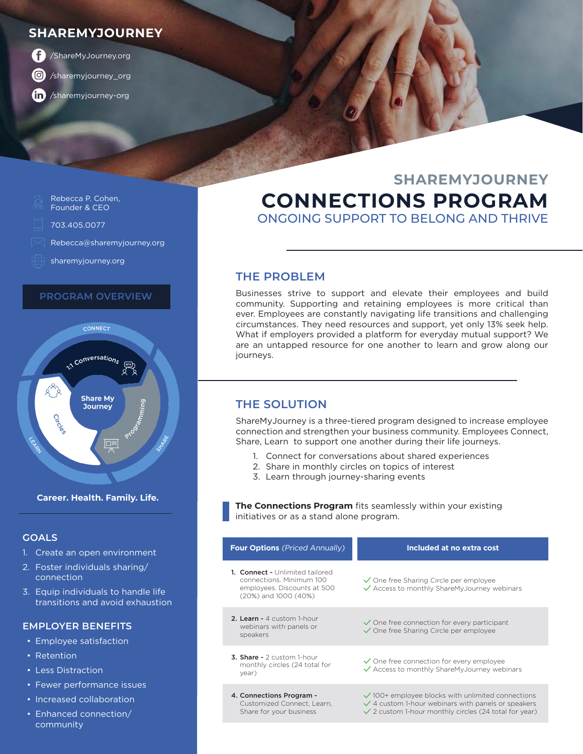### **SHAREMYJOURNEY**



[/sharemyjourney\\_org](https://www.instagram.com/sharemyjourney_org/)

[/sharemyjourney-org](https://www.linkedin.com/company/sharemyjourney-org/)

#### Rebecca P. Cohen, Founder & CEO 703.405.0077

- [Rebecca@sharemyjourney.org](mailto:Rebecca%40sharemyjourney.org%20?subject=)
- [sharemyjourney.org](https://sharemyjourney.org/)

#### **PROGRAM OVERVIEW**



#### **Career. Health. Family. Life.**

#### **GOALS**

- 1. Create an open environment
- 2. Foster individuals sharing/ connection
- 3. Equip individuals to handle life transitions and avoid exhaustion

#### **EMPLOYER BENEFITS**

- Employee satisfaction
- Retention
- Less Distraction
- Fewer performance issues
- Increased collaboration
- Enhanced connection/ community

## **CONNECTIONS PROGRAM** ONGOING SUPPORT TO BELONG AND THRIVE **SHAREMYJOURNEY**

#### **THE PROBLEM**

Businesses strive to support and elevate their employees and build community. Supporting and retaining employees is more critical than ever. Employees are constantly navigating life transitions and challenging circumstances. They need resources and support, yet only 13% seek help. What if employers provided a platform for everyday mutual support? We are an untapped resource for one another to learn and grow along our journeys.

#### **THE SOLUTION**

Share for your business

ShareMyJourney is a three-tiered program designed to increase employee connection and strengthen your business community. Employees Connect, Share, Learn to support one another during their life journeys.

- 1. Connect for conversations about shared experiences
- 2. Share in monthly circles on topics of interest
- 3. Learn through journey-sharing events

**The Connections Program** fits seamlessly within your existing initiatives or as a stand alone program.

| <b>Four Options</b> (Priced Annually)                                                                              | Included at no extra cost                                                                                              |
|--------------------------------------------------------------------------------------------------------------------|------------------------------------------------------------------------------------------------------------------------|
| 1. Connect - Unlimited tailored<br>connections. Minimum 100<br>employees. Discounts at 500<br>(20%) and 1000 (40%) | $\sqrt{\ }$ One free Sharing Circle per employee<br>$\checkmark$ Access to monthly ShareMyJourney webinars             |
| 2. Learn - 4 custom 1-hour<br>webinars with panels or<br>speakers                                                  | $\sqrt{\ }$ One free connection for every participant<br>$\checkmark$ One free Sharing Circle per employee             |
| <b>3. Share -</b> $2$ custom 1-hour<br>monthly circles (24 total for<br>year)                                      | $\checkmark$ One free connection for every employee<br>✓ Access to monthly ShareMyJourney webinars                     |
| 4. Connections Program -<br>Customized Connect, Learn,                                                             | $\sqrt{}$ 100+ employee blocks with unlimited connections<br>$\sqrt{4}$ custom 1-hour webinars with panels or speakers |

- $\checkmark$  2 custom 1-hour monthly circles (24 total for year)
-